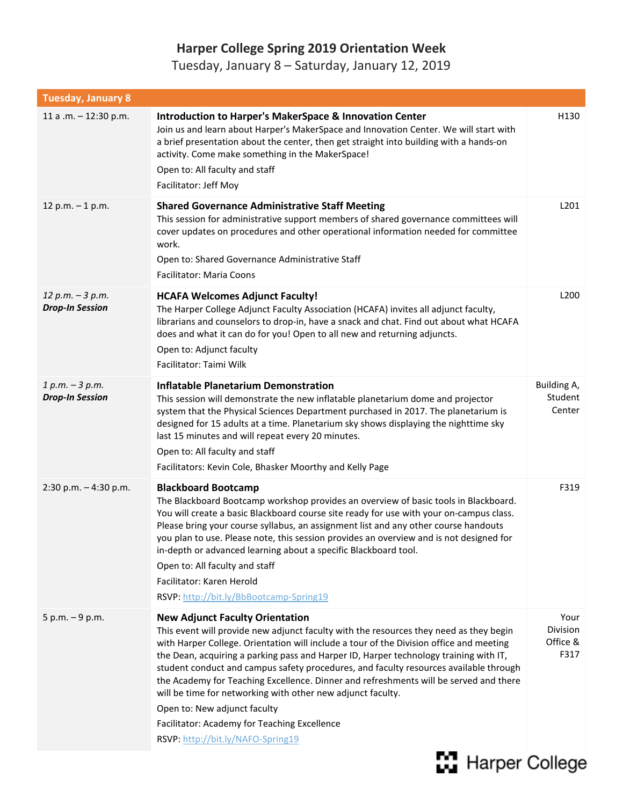## **Harper College Spring 2019 Orientation Week**

Tuesday, January 8 – Saturday, January 12, 2019

| <b>Tuesday, January 8</b>                    |                                                                                                                                                                                                                                                                                                                                                                                                                                                                                                                                                                                                                                                                                            |                                      |
|----------------------------------------------|--------------------------------------------------------------------------------------------------------------------------------------------------------------------------------------------------------------------------------------------------------------------------------------------------------------------------------------------------------------------------------------------------------------------------------------------------------------------------------------------------------------------------------------------------------------------------------------------------------------------------------------------------------------------------------------------|--------------------------------------|
| 11 a .m. - 12:30 p.m.                        | <b>Introduction to Harper's MakerSpace &amp; Innovation Center</b><br>Join us and learn about Harper's MakerSpace and Innovation Center. We will start with<br>a brief presentation about the center, then get straight into building with a hands-on<br>activity. Come make something in the MakerSpace!<br>Open to: All faculty and staff<br>Facilitator: Jeff Moy                                                                                                                                                                                                                                                                                                                       | H130                                 |
| 12 p.m. $-1$ p.m.                            | <b>Shared Governance Administrative Staff Meeting</b><br>This session for administrative support members of shared governance committees will<br>cover updates on procedures and other operational information needed for committee<br>work.<br>Open to: Shared Governance Administrative Staff<br><b>Facilitator: Maria Coons</b>                                                                                                                                                                                                                                                                                                                                                         | L201                                 |
| $12 p.m. - 3 p.m.$<br><b>Drop-In Session</b> | <b>HCAFA Welcomes Adjunct Faculty!</b><br>The Harper College Adjunct Faculty Association (HCAFA) invites all adjunct faculty,<br>librarians and counselors to drop-in, have a snack and chat. Find out about what HCAFA<br>does and what it can do for you! Open to all new and returning adjuncts.<br>Open to: Adjunct faculty<br>Facilitator: Taimi Wilk                                                                                                                                                                                                                                                                                                                                 | L200                                 |
| $1 p.m. - 3 p.m.$<br><b>Drop-In Session</b>  | <b>Inflatable Planetarium Demonstration</b><br>This session will demonstrate the new inflatable planetarium dome and projector<br>system that the Physical Sciences Department purchased in 2017. The planetarium is<br>designed for 15 adults at a time. Planetarium sky shows displaying the nighttime sky<br>last 15 minutes and will repeat every 20 minutes.<br>Open to: All faculty and staff<br>Facilitators: Kevin Cole, Bhasker Moorthy and Kelly Page                                                                                                                                                                                                                            | Building A,<br>Student<br>Center     |
| 2:30 p.m. $-4:30$ p.m.                       | <b>Blackboard Bootcamp</b><br>The Blackboard Bootcamp workshop provides an overview of basic tools in Blackboard.<br>You will create a basic Blackboard course site ready for use with your on-campus class.<br>Please bring your course syllabus, an assignment list and any other course handouts<br>you plan to use. Please note, this session provides an overview and is not designed for<br>in-depth or advanced learning about a specific Blackboard tool.<br>Open to: All faculty and staff<br>Facilitator: Karen Herold<br>RSVP: http://bit.ly/BbBootcamp-Spring19                                                                                                                | F319                                 |
| $5 p.m. - 9 p.m.$                            | <b>New Adjunct Faculty Orientation</b><br>This event will provide new adjunct faculty with the resources they need as they begin<br>with Harper College. Orientation will include a tour of the Division office and meeting<br>the Dean, acquiring a parking pass and Harper ID, Harper technology training with IT,<br>student conduct and campus safety procedures, and faculty resources available through<br>the Academy for Teaching Excellence. Dinner and refreshments will be served and there<br>will be time for networking with other new adjunct faculty.<br>Open to: New adjunct faculty<br>Facilitator: Academy for Teaching Excellence<br>RSVP: http://bit.ly/NAFO-Spring19 | Your<br>Division<br>Office &<br>F317 |

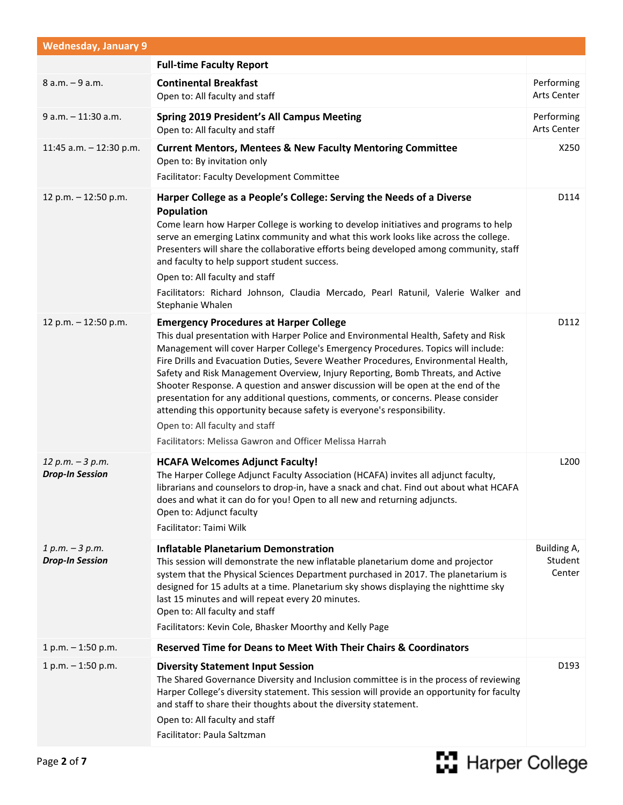| <b>Wednesday, January 9</b>                  |                                                                                                                                                                                                                                                                                                                                                                                                                                                                                                                                                                                                                                                                                                                                                       |                                  |
|----------------------------------------------|-------------------------------------------------------------------------------------------------------------------------------------------------------------------------------------------------------------------------------------------------------------------------------------------------------------------------------------------------------------------------------------------------------------------------------------------------------------------------------------------------------------------------------------------------------------------------------------------------------------------------------------------------------------------------------------------------------------------------------------------------------|----------------------------------|
|                                              | <b>Full-time Faculty Report</b>                                                                                                                                                                                                                                                                                                                                                                                                                                                                                                                                                                                                                                                                                                                       |                                  |
| 8 a.m. - 9 a.m.                              | <b>Continental Breakfast</b><br>Open to: All faculty and staff                                                                                                                                                                                                                                                                                                                                                                                                                                                                                                                                                                                                                                                                                        | Performing<br>Arts Center        |
| 9 a.m. - 11:30 a.m.                          | <b>Spring 2019 President's All Campus Meeting</b><br>Open to: All faculty and staff                                                                                                                                                                                                                                                                                                                                                                                                                                                                                                                                                                                                                                                                   | Performing<br>Arts Center        |
| 11:45 a.m. $-$ 12:30 p.m.                    | <b>Current Mentors, Mentees &amp; New Faculty Mentoring Committee</b><br>Open to: By invitation only<br>Facilitator: Faculty Development Committee                                                                                                                                                                                                                                                                                                                                                                                                                                                                                                                                                                                                    | X250                             |
| 12 p.m. - 12:50 p.m.                         | Harper College as a People's College: Serving the Needs of a Diverse<br><b>Population</b><br>Come learn how Harper College is working to develop initiatives and programs to help<br>serve an emerging Latinx community and what this work looks like across the college.<br>Presenters will share the collaborative efforts being developed among community, staff<br>and faculty to help support student success.<br>Open to: All faculty and staff<br>Facilitators: Richard Johnson, Claudia Mercado, Pearl Ratunil, Valerie Walker and<br>Stephanie Whalen                                                                                                                                                                                        | D114                             |
| 12 p.m. - 12:50 p.m.                         | <b>Emergency Procedures at Harper College</b><br>This dual presentation with Harper Police and Environmental Health, Safety and Risk<br>Management will cover Harper College's Emergency Procedures. Topics will include:<br>Fire Drills and Evacuation Duties, Severe Weather Procedures, Environmental Health,<br>Safety and Risk Management Overview, Injury Reporting, Bomb Threats, and Active<br>Shooter Response. A question and answer discussion will be open at the end of the<br>presentation for any additional questions, comments, or concerns. Please consider<br>attending this opportunity because safety is everyone's responsibility.<br>Open to: All faculty and staff<br>Facilitators: Melissa Gawron and Officer Melissa Harrah | D112                             |
| $12 p.m. - 3 p.m.$<br><b>Drop-In Session</b> | <b>HCAFA Welcomes Adjunct Faculty!</b><br>The Harper College Adjunct Faculty Association (HCAFA) invites all adjunct faculty,<br>librarians and counselors to drop-in, have a snack and chat. Find out about what HCAFA<br>does and what it can do for you! Open to all new and returning adjuncts.<br>Open to: Adjunct faculty<br>Facilitator: Taimi Wilk                                                                                                                                                                                                                                                                                                                                                                                            | L200                             |
| $1 p.m. - 3 p.m.$<br><b>Drop-In Session</b>  | <b>Inflatable Planetarium Demonstration</b><br>This session will demonstrate the new inflatable planetarium dome and projector<br>system that the Physical Sciences Department purchased in 2017. The planetarium is<br>designed for 15 adults at a time. Planetarium sky shows displaying the nighttime sky<br>last 15 minutes and will repeat every 20 minutes.<br>Open to: All faculty and staff<br>Facilitators: Kevin Cole, Bhasker Moorthy and Kelly Page                                                                                                                                                                                                                                                                                       | Building A,<br>Student<br>Center |
| $1 p.m. - 1:50 p.m.$                         | <b>Reserved Time for Deans to Meet With Their Chairs &amp; Coordinators</b>                                                                                                                                                                                                                                                                                                                                                                                                                                                                                                                                                                                                                                                                           |                                  |
| $1 p.m. - 1:50 p.m.$                         | <b>Diversity Statement Input Session</b><br>The Shared Governance Diversity and Inclusion committee is in the process of reviewing<br>Harper College's diversity statement. This session will provide an opportunity for faculty<br>and staff to share their thoughts about the diversity statement.<br>Open to: All faculty and staff<br>Facilitator: Paula Saltzman                                                                                                                                                                                                                                                                                                                                                                                 | D193                             |

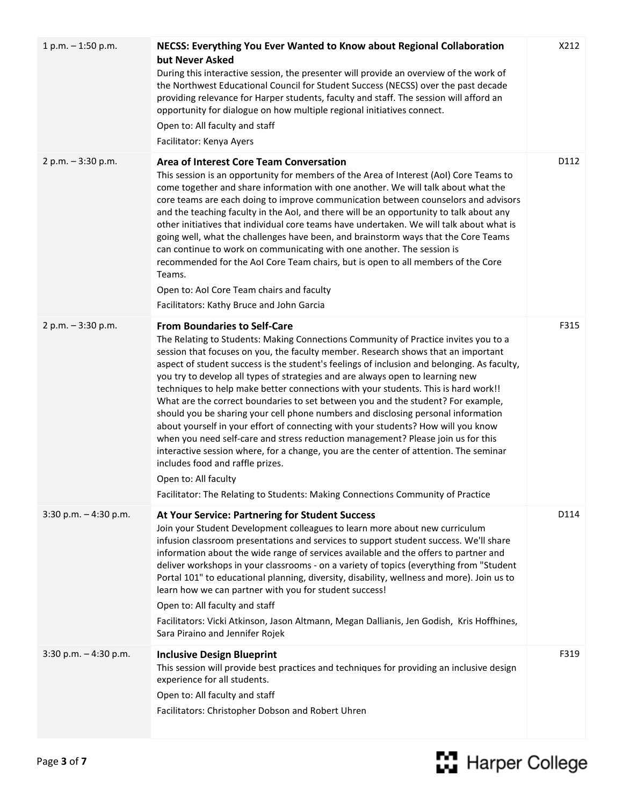| $1 p.m. - 1:50 p.m.$     | NECSS: Everything You Ever Wanted to Know about Regional Collaboration<br>but Never Asked<br>During this interactive session, the presenter will provide an overview of the work of<br>the Northwest Educational Council for Student Success (NECSS) over the past decade<br>providing relevance for Harper students, faculty and staff. The session will afford an<br>opportunity for dialogue on how multiple regional initiatives connect.<br>Open to: All faculty and staff<br>Facilitator: Kenya Ayers                                                                                                                                                                                                                                                                                                                                                                                                                                                                                                                                                                      | X212 |
|--------------------------|----------------------------------------------------------------------------------------------------------------------------------------------------------------------------------------------------------------------------------------------------------------------------------------------------------------------------------------------------------------------------------------------------------------------------------------------------------------------------------------------------------------------------------------------------------------------------------------------------------------------------------------------------------------------------------------------------------------------------------------------------------------------------------------------------------------------------------------------------------------------------------------------------------------------------------------------------------------------------------------------------------------------------------------------------------------------------------|------|
| $2 p.m. - 3:30 p.m.$     | <b>Area of Interest Core Team Conversation</b><br>This session is an opportunity for members of the Area of Interest (AoI) Core Teams to<br>come together and share information with one another. We will talk about what the<br>core teams are each doing to improve communication between counselors and advisors<br>and the teaching faculty in the AoI, and there will be an opportunity to talk about any<br>other initiatives that individual core teams have undertaken. We will talk about what is<br>going well, what the challenges have been, and brainstorm ways that the Core Teams<br>can continue to work on communicating with one another. The session is<br>recommended for the AoI Core Team chairs, but is open to all members of the Core<br>Teams.<br>Open to: AoI Core Team chairs and faculty<br>Facilitators: Kathy Bruce and John Garcia                                                                                                                                                                                                               | D112 |
| 2 p.m. $-3:30$ p.m.      | <b>From Boundaries to Self-Care</b><br>The Relating to Students: Making Connections Community of Practice invites you to a<br>session that focuses on you, the faculty member. Research shows that an important<br>aspect of student success is the student's feelings of inclusion and belonging. As faculty,<br>you try to develop all types of strategies and are always open to learning new<br>techniques to help make better connections with your students. This is hard work!!<br>What are the correct boundaries to set between you and the student? For example,<br>should you be sharing your cell phone numbers and disclosing personal information<br>about yourself in your effort of connecting with your students? How will you know<br>when you need self-care and stress reduction management? Please join us for this<br>interactive session where, for a change, you are the center of attention. The seminar<br>includes food and raffle prizes.<br>Open to: All faculty<br>Facilitator: The Relating to Students: Making Connections Community of Practice | F315 |
| $3:30$ p.m. $-4:30$ p.m. | At Your Service: Partnering for Student Success<br>Join your Student Development colleagues to learn more about new curriculum<br>infusion classroom presentations and services to support student success. We'll share<br>information about the wide range of services available and the offers to partner and<br>deliver workshops in your classrooms - on a variety of topics (everything from "Student<br>Portal 101" to educational planning, diversity, disability, wellness and more). Join us to<br>learn how we can partner with you for student success!<br>Open to: All faculty and staff<br>Facilitators: Vicki Atkinson, Jason Altmann, Megan Dallianis, Jen Godish, Kris Hoffhines,<br>Sara Piraino and Jennifer Rojek                                                                                                                                                                                                                                                                                                                                             | D114 |
| $3:30$ p.m. $-4:30$ p.m. | <b>Inclusive Design Blueprint</b><br>This session will provide best practices and techniques for providing an inclusive design<br>experience for all students.<br>Open to: All faculty and staff<br>Facilitators: Christopher Dobson and Robert Uhren                                                                                                                                                                                                                                                                                                                                                                                                                                                                                                                                                                                                                                                                                                                                                                                                                            | F319 |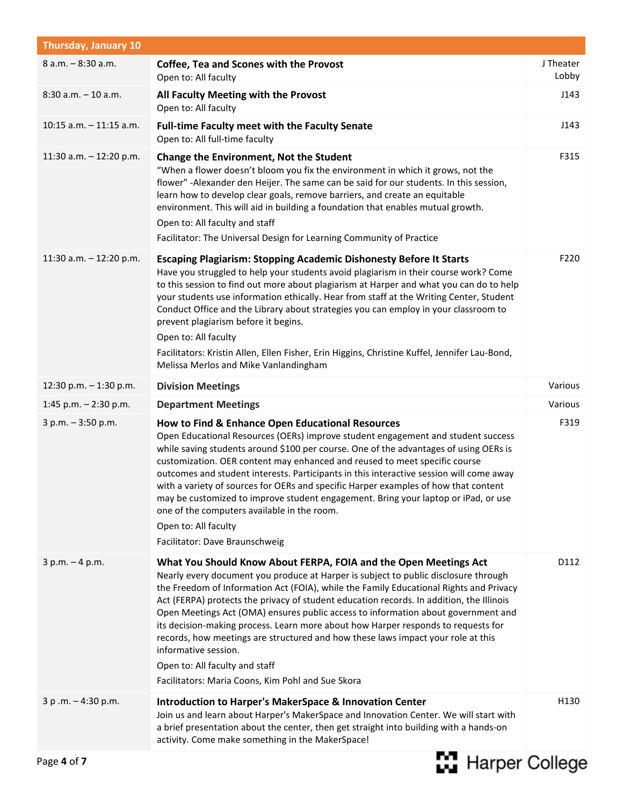| <b>Thursday, January 10</b> |                                                                                                                                                                                                                                                                                                                                                                                                                                                                                                                                                                                                                                                                                                                            |                    |
|-----------------------------|----------------------------------------------------------------------------------------------------------------------------------------------------------------------------------------------------------------------------------------------------------------------------------------------------------------------------------------------------------------------------------------------------------------------------------------------------------------------------------------------------------------------------------------------------------------------------------------------------------------------------------------------------------------------------------------------------------------------------|--------------------|
| 8 a.m. - 8:30 a.m.          | <b>Coffee, Tea and Scones with the Provost</b><br>Open to: All faculty                                                                                                                                                                                                                                                                                                                                                                                                                                                                                                                                                                                                                                                     | J Theater<br>Lobby |
| $8:30$ a.m. $-10$ a.m.      | All Faculty Meeting with the Provost<br>Open to: All faculty                                                                                                                                                                                                                                                                                                                                                                                                                                                                                                                                                                                                                                                               | J143               |
| $10:15$ a.m. $-11:15$ a.m.  | <b>Full-time Faculty meet with the Faculty Senate</b><br>Open to: All full-time faculty                                                                                                                                                                                                                                                                                                                                                                                                                                                                                                                                                                                                                                    | J143               |
| 11:30 a.m. $-$ 12:20 p.m.   | <b>Change the Environment, Not the Student</b><br>"When a flower doesn't bloom you fix the environment in which it grows, not the<br>flower" -Alexander den Heijer. The same can be said for our students. In this session,<br>learn how to develop clear goals, remove barriers, and create an equitable<br>environment. This will aid in building a foundation that enables mutual growth.<br>Open to: All faculty and staff<br>Facilitator: The Universal Design for Learning Community of Practice                                                                                                                                                                                                                     | F315               |
| 11:30 a.m. $- 12:20$ p.m.   | <b>Escaping Plagiarism: Stopping Academic Dishonesty Before It Starts</b><br>Have you struggled to help your students avoid plagiarism in their course work? Come<br>to this session to find out more about plagiarism at Harper and what you can do to help<br>your students use information ethically. Hear from staff at the Writing Center, Student<br>Conduct Office and the Library about strategies you can employ in your classroom to<br>prevent plagiarism before it begins.<br>Open to: All faculty<br>Facilitators: Kristin Allen, Ellen Fisher, Erin Higgins, Christine Kuffel, Jennifer Lau-Bond,<br>Melissa Merlos and Mike Vanlandingham                                                                   | F220               |
| 12:30 p.m. $-$ 1:30 p.m.    | <b>Division Meetings</b>                                                                                                                                                                                                                                                                                                                                                                                                                                                                                                                                                                                                                                                                                                   | Various            |
| 1:45 p.m. $-$ 2:30 p.m.     | <b>Department Meetings</b>                                                                                                                                                                                                                                                                                                                                                                                                                                                                                                                                                                                                                                                                                                 | Various            |
| $3 p.m. - 3:50 p.m.$        | How to Find & Enhance Open Educational Resources<br>Open Educational Resources (OERs) improve student engagement and student success<br>while saving students around \$100 per course. One of the advantages of using OERs is<br>customization. OER content may enhanced and reused to meet specific course<br>outcomes and student interests. Participants in this interactive session will come away<br>with a variety of sources for OERs and specific Harper examples of how that content<br>may be customized to improve student engagement. Bring your laptop or iPad, or use<br>one of the computers available in the room.<br>Open to: All faculty<br>Facilitator: Dave Braunschweig                               | F319               |
| $3 p.m. - 4 p.m.$           | What You Should Know About FERPA, FOIA and the Open Meetings Act<br>Nearly every document you produce at Harper is subject to public disclosure through<br>the Freedom of Information Act (FOIA), while the Family Educational Rights and Privacy<br>Act (FERPA) protects the privacy of student education records. In addition, the Illinois<br>Open Meetings Act (OMA) ensures public access to information about government and<br>its decision-making process. Learn more about how Harper responds to requests for<br>records, how meetings are structured and how these laws impact your role at this<br>informative session.<br>Open to: All faculty and staff<br>Facilitators: Maria Coons, Kim Pohl and Sue Skora | D112               |
| $3 p.m. - 4:30 p.m.$        | <b>Introduction to Harper's MakerSpace &amp; Innovation Center</b><br>Join us and learn about Harper's MakerSpace and Innovation Center. We will start with<br>a brief presentation about the center, then get straight into building with a hands-on<br>activity. Come make something in the MakerSpace!                                                                                                                                                                                                                                                                                                                                                                                                                  | H130               |

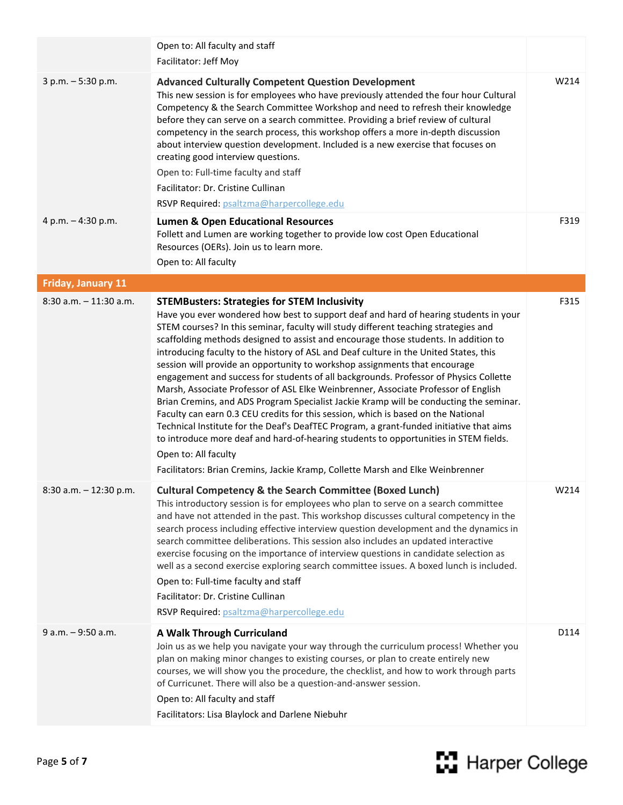|                           | Open to: All faculty and staff<br>Facilitator: Jeff Moy                                                                                                                                                                                                                                                                                                                                                                                                                                                                                                                                                                                                                                                                                                                                                                                                                                                                                                                                                                                                                                                                                                     |      |
|---------------------------|-------------------------------------------------------------------------------------------------------------------------------------------------------------------------------------------------------------------------------------------------------------------------------------------------------------------------------------------------------------------------------------------------------------------------------------------------------------------------------------------------------------------------------------------------------------------------------------------------------------------------------------------------------------------------------------------------------------------------------------------------------------------------------------------------------------------------------------------------------------------------------------------------------------------------------------------------------------------------------------------------------------------------------------------------------------------------------------------------------------------------------------------------------------|------|
| $3 p.m. - 5:30 p.m.$      | <b>Advanced Culturally Competent Question Development</b><br>This new session is for employees who have previously attended the four hour Cultural<br>Competency & the Search Committee Workshop and need to refresh their knowledge<br>before they can serve on a search committee. Providing a brief review of cultural<br>competency in the search process, this workshop offers a more in-depth discussion<br>about interview question development. Included is a new exercise that focuses on<br>creating good interview questions.<br>Open to: Full-time faculty and staff<br>Facilitator: Dr. Cristine Cullinan<br>RSVP Required: psaltzma@harpercollege.edu                                                                                                                                                                                                                                                                                                                                                                                                                                                                                         | W214 |
| 4 p.m. - 4:30 p.m.        | <b>Lumen &amp; Open Educational Resources</b><br>Follett and Lumen are working together to provide low cost Open Educational<br>Resources (OERs). Join us to learn more.<br>Open to: All faculty                                                                                                                                                                                                                                                                                                                                                                                                                                                                                                                                                                                                                                                                                                                                                                                                                                                                                                                                                            | F319 |
| <b>Friday, January 11</b> |                                                                                                                                                                                                                                                                                                                                                                                                                                                                                                                                                                                                                                                                                                                                                                                                                                                                                                                                                                                                                                                                                                                                                             |      |
| $8:30$ a.m. $-11:30$ a.m. | <b>STEMBusters: Strategies for STEM Inclusivity</b><br>Have you ever wondered how best to support deaf and hard of hearing students in your<br>STEM courses? In this seminar, faculty will study different teaching strategies and<br>scaffolding methods designed to assist and encourage those students. In addition to<br>introducing faculty to the history of ASL and Deaf culture in the United States, this<br>session will provide an opportunity to workshop assignments that encourage<br>engagement and success for students of all backgrounds. Professor of Physics Collette<br>Marsh, Associate Professor of ASL Elke Weinbrenner, Associate Professor of English<br>Brian Cremins, and ADS Program Specialist Jackie Kramp will be conducting the seminar.<br>Faculty can earn 0.3 CEU credits for this session, which is based on the National<br>Technical Institute for the Deaf's DeafTEC Program, a grant-funded initiative that aims<br>to introduce more deaf and hard-of-hearing students to opportunities in STEM fields.<br>Open to: All faculty<br>Facilitators: Brian Cremins, Jackie Kramp, Collette Marsh and Elke Weinbrenner | F315 |
| 8:30 a.m. - 12:30 p.m.    | <b>Cultural Competency &amp; the Search Committee (Boxed Lunch)</b><br>This introductory session is for employees who plan to serve on a search committee<br>and have not attended in the past. This workshop discusses cultural competency in the<br>search process including effective interview question development and the dynamics in<br>search committee deliberations. This session also includes an updated interactive<br>exercise focusing on the importance of interview questions in candidate selection as<br>well as a second exercise exploring search committee issues. A boxed lunch is included.<br>Open to: Full-time faculty and staff<br>Facilitator: Dr. Cristine Cullinan<br>RSVP Required: psaltzma@harpercollege.edu                                                                                                                                                                                                                                                                                                                                                                                                              | W214 |
| 9 a.m. - 9:50 a.m.        | A Walk Through Curriculand<br>Join us as we help you navigate your way through the curriculum process! Whether you<br>plan on making minor changes to existing courses, or plan to create entirely new<br>courses, we will show you the procedure, the checklist, and how to work through parts<br>of Curricunet. There will also be a question-and-answer session.<br>Open to: All faculty and staff<br>Facilitators: Lisa Blaylock and Darlene Niebuhr                                                                                                                                                                                                                                                                                                                                                                                                                                                                                                                                                                                                                                                                                                    | D114 |

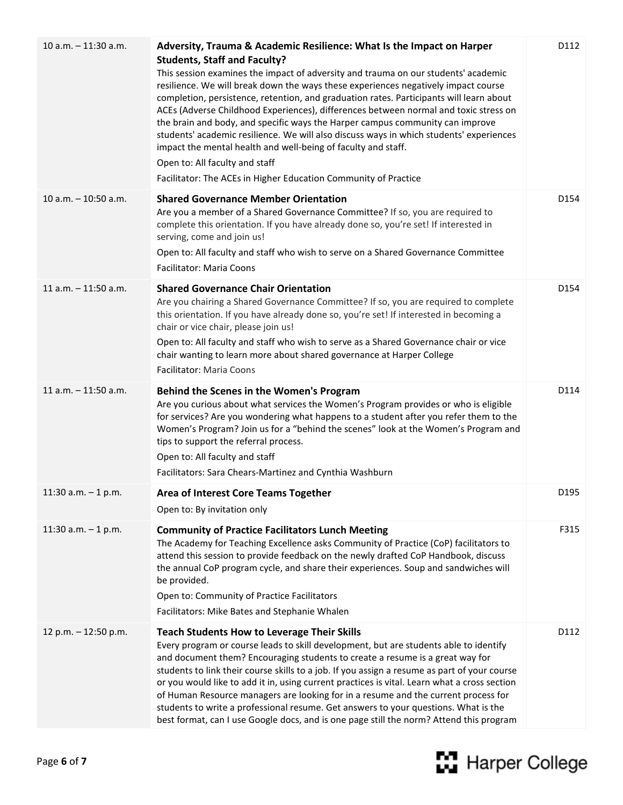| $10 a.m. - 11:30 a.m.$  | Adversity, Trauma & Academic Resilience: What Is the Impact on Harper<br><b>Students, Staff and Faculty?</b><br>This session examines the impact of adversity and trauma on our students' academic<br>resilience. We will break down the ways these experiences negatively impact course<br>completion, persistence, retention, and graduation rates. Participants will learn about<br>ACEs (Adverse Childhood Experiences), differences between normal and toxic stress on<br>the brain and body, and specific ways the Harper campus community can improve<br>students' academic resilience. We will also discuss ways in which students' experiences<br>impact the mental health and well-being of faculty and staff.<br>Open to: All faculty and staff<br>Facilitator: The ACEs in Higher Education Community of Practice | D112 |
|-------------------------|-------------------------------------------------------------------------------------------------------------------------------------------------------------------------------------------------------------------------------------------------------------------------------------------------------------------------------------------------------------------------------------------------------------------------------------------------------------------------------------------------------------------------------------------------------------------------------------------------------------------------------------------------------------------------------------------------------------------------------------------------------------------------------------------------------------------------------|------|
| $10 a.m. - 10:50 a.m.$  | <b>Shared Governance Member Orientation</b><br>Are you a member of a Shared Governance Committee? If so, you are required to<br>complete this orientation. If you have already done so, you're set! If interested in<br>serving, come and join us!<br>Open to: All faculty and staff who wish to serve on a Shared Governance Committee<br><b>Facilitator: Maria Coons</b>                                                                                                                                                                                                                                                                                                                                                                                                                                                    | D154 |
| $11$ a.m. $-11:50$ a.m. | <b>Shared Governance Chair Orientation</b><br>Are you chairing a Shared Governance Committee? If so, you are required to complete<br>this orientation. If you have already done so, you're set! If interested in becoming a<br>chair or vice chair, please join us!<br>Open to: All faculty and staff who wish to serve as a Shared Governance chair or vice<br>chair wanting to learn more about shared governance at Harper College<br>Facilitator: Maria Coons                                                                                                                                                                                                                                                                                                                                                             | D154 |
| $11 a.m. - 11:50 a.m.$  | Behind the Scenes in the Women's Program<br>Are you curious about what services the Women's Program provides or who is eligible<br>for services? Are you wondering what happens to a student after you refer them to the<br>Women's Program? Join us for a "behind the scenes" look at the Women's Program and<br>tips to support the referral process.<br>Open to: All faculty and staff<br>Facilitators: Sara Chears-Martinez and Cynthia Washburn                                                                                                                                                                                                                                                                                                                                                                          | D114 |
| 11:30 a.m. $-$ 1 p.m.   | <b>Area of Interest Core Teams Together</b><br>Open to: By invitation only                                                                                                                                                                                                                                                                                                                                                                                                                                                                                                                                                                                                                                                                                                                                                    | D195 |
| 11:30 a.m. $-$ 1 p.m.   | <b>Community of Practice Facilitators Lunch Meeting</b><br>The Academy for Teaching Excellence asks Community of Practice (CoP) facilitators to<br>attend this session to provide feedback on the newly drafted CoP Handbook, discuss<br>the annual CoP program cycle, and share their experiences. Soup and sandwiches will<br>be provided.<br>Open to: Community of Practice Facilitators<br>Facilitators: Mike Bates and Stephanie Whalen                                                                                                                                                                                                                                                                                                                                                                                  | F315 |
| 12 p.m. - 12:50 p.m.    | <b>Teach Students How to Leverage Their Skills</b><br>Every program or course leads to skill development, but are students able to identify<br>and document them? Encouraging students to create a resume is a great way for<br>students to link their course skills to a job. If you assign a resume as part of your course<br>or you would like to add it in, using current practices is vital. Learn what a cross section<br>of Human Resource managers are looking for in a resume and the current process for<br>students to write a professional resume. Get answers to your questions. What is the<br>best format, can I use Google docs, and is one page still the norm? Attend this program                                                                                                                          | D112 |